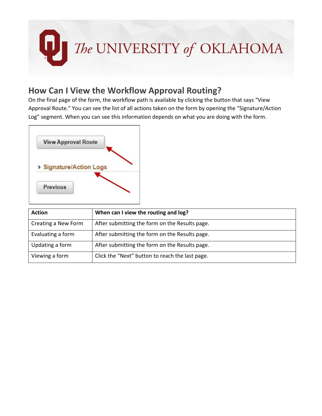

## **How Can I View the Workflow Approval Routing?**

On the final page of the form, the workflow path is available by clicking the button that says "View Approval Route." You can see the list of all actions taken on the form by opening the "Signature/Action Log" segment. When you can see this information depends on what you are doing with the form.



| <b>Action</b>       | When can I view the routing and log?            |
|---------------------|-------------------------------------------------|
| Creating a New Form | After submitting the form on the Results page.  |
| Evaluating a form   | After submitting the form on the Results page.  |
| Updating a form     | After submitting the form on the Results page.  |
| Viewing a form      | Click the "Next" button to reach the last page. |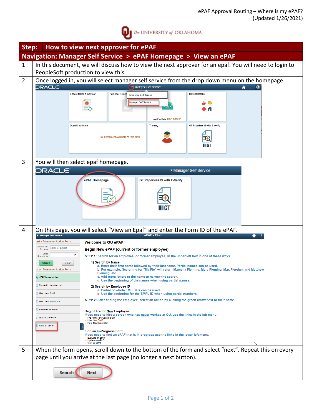

| How to view next approver for ePAF<br>Step:                     |                                                                                               |                                                                                                                                                                                        |  |
|-----------------------------------------------------------------|-----------------------------------------------------------------------------------------------|----------------------------------------------------------------------------------------------------------------------------------------------------------------------------------------|--|
| Navigation: Manager Self Service > ePAF Homepage > View an ePAF |                                                                                               |                                                                                                                                                                                        |  |
| $\mathbf{1}$                                                    |                                                                                               | In this document, we will discuss how to view the next approver for an epaf. You will need to login to                                                                                 |  |
|                                                                 | PeopleSoft production to view this.                                                           |                                                                                                                                                                                        |  |
| $\overline{2}$                                                  | Once logged in, you will select manager self service from the drop down menu on the homepage. |                                                                                                                                                                                        |  |
|                                                                 | <b>ORACLE</b>                                                                                 | Finployee Self Service                                                                                                                                                                 |  |
|                                                                 |                                                                                               | <b>Benefit Details</b><br><b>Update Name &amp; Contact</b><br><b>Personal Details</b><br><b>Employee Self Service</b>                                                                  |  |
|                                                                 |                                                                                               | <b>Manager Self Service</b>                                                                                                                                                            |  |
|                                                                 |                                                                                               |                                                                                                                                                                                        |  |
|                                                                 |                                                                                               | Last Pay Date 01/15/2021                                                                                                                                                               |  |
|                                                                 | <b>Open Enrollment</b>                                                                        | GT Paperless I9 with E-Verify<br><b>Training</b>                                                                                                                                       |  |
|                                                                 |                                                                                               | No Enrollment Available At This Time                                                                                                                                                   |  |
|                                                                 |                                                                                               |                                                                                                                                                                                        |  |
|                                                                 |                                                                                               |                                                                                                                                                                                        |  |
| 3                                                               | You will then select epaf homepage.                                                           |                                                                                                                                                                                        |  |
|                                                                 | <b>DRACLE</b>                                                                                 | ▼ Manager Self Service                                                                                                                                                                 |  |
|                                                                 |                                                                                               | ePAF Homepage<br>GT Paperless I9 with E-Verify                                                                                                                                         |  |
|                                                                 |                                                                                               |                                                                                                                                                                                        |  |
|                                                                 |                                                                                               |                                                                                                                                                                                        |  |
|                                                                 |                                                                                               |                                                                                                                                                                                        |  |
|                                                                 |                                                                                               |                                                                                                                                                                                        |  |
|                                                                 |                                                                                               |                                                                                                                                                                                        |  |
|                                                                 |                                                                                               |                                                                                                                                                                                        |  |
| 4                                                               | <b>Manager Self Service</b>                                                                   | On this page, you will select "View an Epaf" and enter the Form ID of the ePAF.<br>ePAF - Fluid                                                                                        |  |
|                                                                 | tart a Personnel Action Form                                                                  | <b>Welcome to OU ePAF</b>                                                                                                                                                              |  |
|                                                                 | Search for<br><b>Name or Emplid</b><br>Person                                                 | Begin New ePAF (current or former employee)                                                                                                                                            |  |
|                                                                 | Just<br>$\checkmark$<br>Search In                                                             | STEP 1: Search for an employee (or former employee) in the upper left box in one of these ways.                                                                                        |  |
|                                                                 | Clear<br>Search                                                                               | 1) Search by Name<br>a. Enter their first name followed by their last name. Partial names can be used.                                                                                 |  |
|                                                                 | ct on Personnel Action Form                                                                   | b. For example: Searching for "Ma Fle" will return Marcella Fleming, Mary Fleming, Max Fletcher, and Matthew<br>Fleming, etc.<br>c. Add more letters to the name to narrow the search. |  |
|                                                                 | ePAF Introduction                                                                             | d. Use the beginning of the names when using partial names.                                                                                                                            |  |
|                                                                 | Pre-Auth: New/Vacant                                                                          | 2) Search by Employee ID<br>a. Partial or whole EMPL IDs can be used.                                                                                                                  |  |
|                                                                 | <b>Hire: New Staff</b>                                                                        | b. Use the beginning for the EMPL ID when using partial numbers.<br>STEP 2: After finding the employee, select an action by clicking the green arrow next to their name.               |  |
|                                                                 | Hire: New Non-Staff<br>Evaluate an ePAF                                                       |                                                                                                                                                                                        |  |
|                                                                 |                                                                                               | Begin Hire for New Employee<br>If you need to hire a person who has never worked at OU, use the links in the left menu.                                                                |  |
|                                                                 | Update an ePAF                                                                                | Pre-Auth: New/Vacant Staff<br><b>Hire: New Staff</b><br>Hire: New Non-Staff                                                                                                            |  |
|                                                                 | View an ePAF                                                                                  | Find an In-Progress Form                                                                                                                                                               |  |
|                                                                 |                                                                                               | If you need to find an ePAF that is in progress use the links in the lower left menu.<br>- Evaluate an ePAF<br>• Update an ePAF                                                        |  |
|                                                                 |                                                                                               | View an ePAF                                                                                                                                                                           |  |
| 5                                                               |                                                                                               | When the form opens, scroll down to the bottom of the form and select "next". Repeat this on every                                                                                     |  |
|                                                                 | page until you arrive at the last page (no longer a next button).                             |                                                                                                                                                                                        |  |
|                                                                 | Search                                                                                        | <b>Next</b>                                                                                                                                                                            |  |
|                                                                 |                                                                                               |                                                                                                                                                                                        |  |